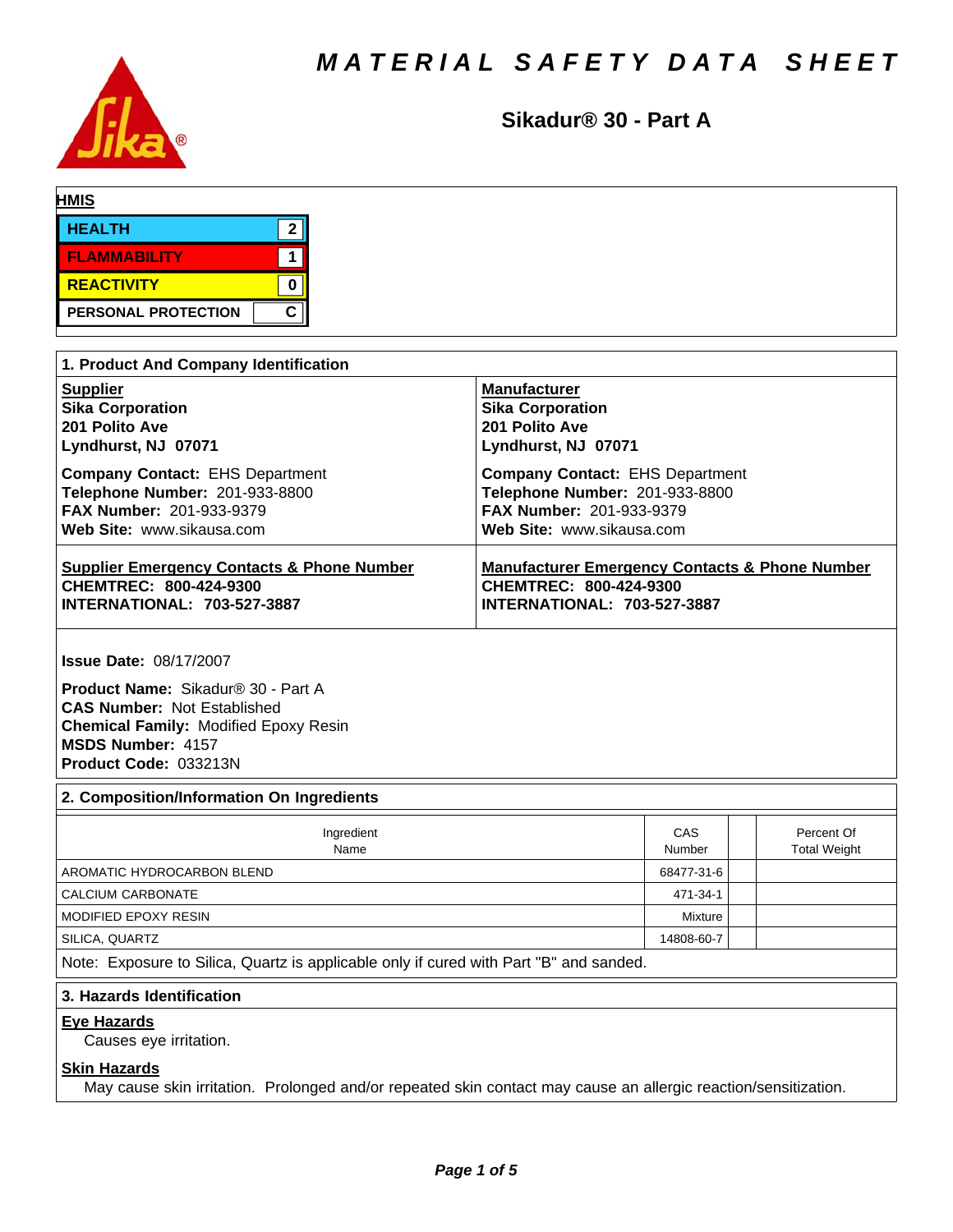

**Sikadur® 30 - Part A**

| <b>HMIS</b>         |   |
|---------------------|---|
| <b>HEALTH</b>       |   |
| <b>FLAMMABILITY</b> |   |
| REACTIVITY          |   |
| PERSONAL PROTECTION | C |

| 1. Product And Company Identification                 |                                                           |  |  |  |  |
|-------------------------------------------------------|-----------------------------------------------------------|--|--|--|--|
| <b>Supplier</b>                                       | <b>Manufacturer</b>                                       |  |  |  |  |
| <b>Sika Corporation</b>                               | <b>Sika Corporation</b>                                   |  |  |  |  |
| 201 Polito Ave                                        | 201 Polito Ave                                            |  |  |  |  |
| Lyndhurst, NJ 07071                                   | Lyndhurst, NJ 07071                                       |  |  |  |  |
| <b>Company Contact: EHS Department</b>                | <b>Company Contact: EHS Department</b>                    |  |  |  |  |
| Telephone Number: 201-933-8800                        | Telephone Number: 201-933-8800                            |  |  |  |  |
| <b>FAX Number: 201-933-9379</b>                       | <b>FAX Number: 201-933-9379</b>                           |  |  |  |  |
| Web Site: www.sikausa.com                             | Web Site: www.sikausa.com                                 |  |  |  |  |
| <b>Supplier Emergency Contacts &amp; Phone Number</b> | <b>Manufacturer Emergency Contacts &amp; Phone Number</b> |  |  |  |  |
| CHEMTREC: 800-424-9300                                | CHEMTREC: 800-424-9300                                    |  |  |  |  |
| <b>INTERNATIONAL: 703-527-3887</b>                    | <b>INTERNATIONAL: 703-527-3887</b>                        |  |  |  |  |

**Issue Date:** 08/17/2007

**Product Name:** Sikadur®30-PartA **CAS Number:** Not Established **Chemical Family:** Modified Epoxy Resin **MSDS Number:** 4157 **Product Code:** 033213N

## **2. Composition/Information On Ingredients**

| Ingredient<br>Name                                                                     | CAS<br>Number |  | Percent Of<br><b>Total Weight</b> |  |  |
|----------------------------------------------------------------------------------------|---------------|--|-----------------------------------|--|--|
| AROMATIC HYDROCARBON BLEND                                                             | 68477-31-6    |  |                                   |  |  |
| CALCIUM CARBONATE                                                                      | 471-34-1      |  |                                   |  |  |
| MODIFIED EPOXY RESIN                                                                   | Mixture       |  |                                   |  |  |
| SILICA, QUARTZ                                                                         | 14808-60-7    |  |                                   |  |  |
| Note: Exposure to Silica, Quartz is applicable only if cured with Part "B" and sanded. |               |  |                                   |  |  |

# **3. Hazards Identification**

#### **Eye Hazards**

Causes eye irritation.

#### **Skin Hazards**

May cause skin irritation. Prolonged and/or repeated skin contact may cause an allergic reaction/sensitization.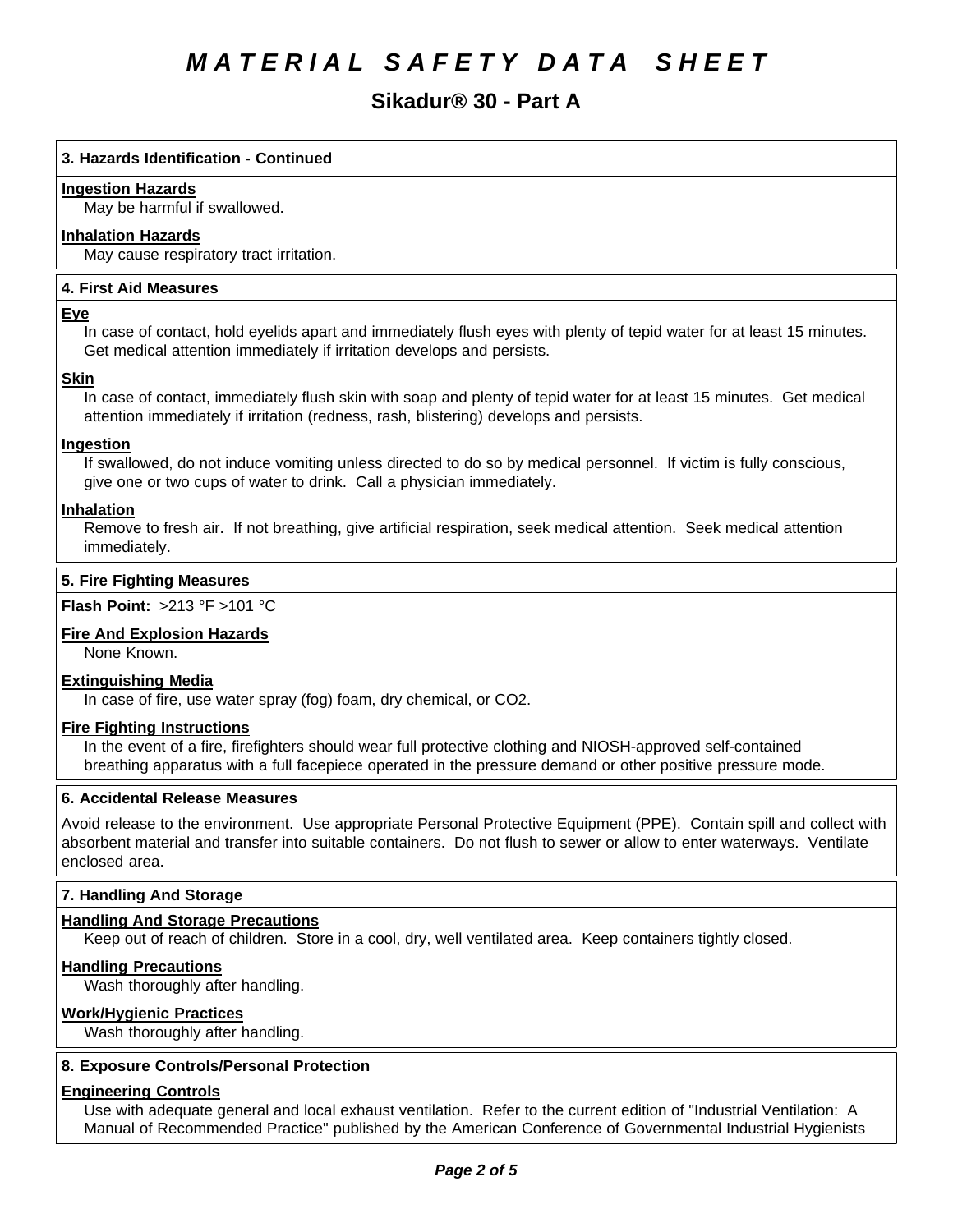# **Sikadur® 30 - Part A**

## **3. Hazards Identification - Continued**

#### **Ingestion Hazards**

May be harmful if swallowed.

### **Inhalation Hazards**

May cause respiratory tract irritation.

#### **4.First AidMeasures**

#### **Eye**

In case of contact, hold eyelids apart and immediately flush eyes with plenty of tepid water for at least 15 minutes. Get medical attention immediately if irritation develops and persists.

#### **Skin**

In case of contact, immediately flush skin with soap and plenty of tepid water for at least 15 minutes. Get medical attention immediately if irritation (redness, rash, blistering) develops and persists.

## **Ingestion**

If swallowed, do not induce vomiting unless directed to do so by medical personnel. If victim is fully conscious, give one or two cups of water to drink. Call a physician immediately.

#### **Inhalation**

Remove to fresh air. If not breathing, give artificial respiration, seek medical attention. Seek medical attention immediately.

### **5. Fire Fighting Measures**

#### **Flash Point:** >213°F>101°C

#### **Fire And Explosion Hazards**

None Known.

## **Extinguishing Media**

In case of fire, use water spray (fog) foam, dry chemical, or CO2.

#### **Fire Fighting Instructions**

In the event of a fire, firefighters should wear full protective clothing and NIOSH-approved self-contained breathing apparatus with a full facepiece operated in the pressure demand or other positive pressure mode.

#### **6. Accidental Release Measures**

Avoid release to the environment. Use appropriate Personal Protective Equipment (PPE). Contain spill and collect with absorbent material and transfer into suitable containers. Do not flush to sewer or allow to enter waterways. Ventilate enclosed area.

#### **7. Handling And Storage**

#### **Handling And Storage Precautions**

Keep out of reach of children. Store in a cool, dry, well ventilated area. Keep containers tightly closed.

#### **Handling Precautions**

Wash thoroughly after handling.

#### **Work/Hygienic Practices**

Wash thoroughly after handling.

## **8. Exposure Controls/Personal Protection**

#### **Engineering Controls**

Use with adequate general and local exhaust ventilation. Refer to the current edition of "Industrial Ventilation: A Manual of Recommended Practice" published by the American Conference of Governmental Industrial Hygienists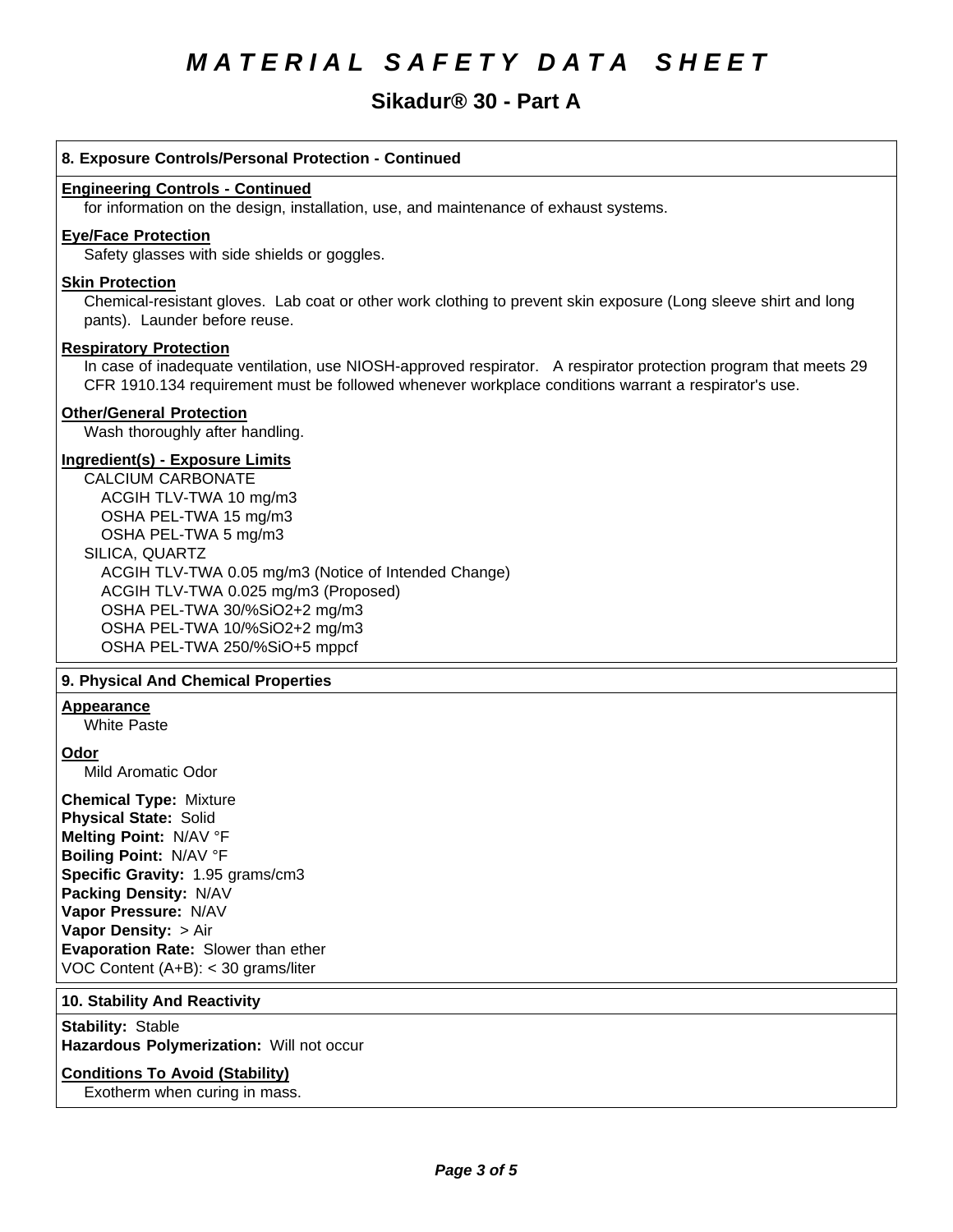# **Sikadur® 30 - Part A**

#### **8. Exposure Controls/Personal Protection - Continued**

#### **Engineering Controls - Continued**

for information on the design, installation, use, and maintenance of exhaust systems.

#### **Eye/Face Protection**

Safety glasses with side shields or goggles.

#### **Skin Protection**

Chemical-resistant gloves. Lab coat or other work clothing to prevent skin exposure (Long sleeve shirt and long pants). Launder before reuse.

#### **Respiratory Protection**

In case of inadequate ventilation, use NIOSH-approved respirator. A respirator protection program that meets 29 CFR 1910.134 requirement must be followed whenever workplace conditions warrant a respirator's use.

#### **Other/General Protection**

Wash thoroughly after handling.

### **Ingredient(s) - Exposure Limits**

CALCIUM CARBONATE ACGIH TLV-TWA10 mg/m3 OSHA PEL-TWA 15 mg/m3 OSHA PEL-TWA 5 mg/m3 SILICA, QUARTZ ACGIH TLV-TWA 0.05 mg/m3(Notice of Intended Change) ACGIH TLV-TWA 0.025 mg/m3 (Proposed) OSHA PEL-TWA 30/%SiO2+2 mg/m3 OSHA PEL-TWA 10/%SiO2+2 mg/m3 OSHA PEL-TWA 250/%SiO+5 mppcf

#### **9. PhysicalAnd Chemical Properties**

# **Appearance**

White Paste

**Odor**

Mild Aromatic Odor

**Chemical Type:** Mixture **Physical State:** Solid **Melting Point:** N/AV°F **Boiling Point:** N/AV°F **Specific Gravity:** 1.95 grams/cm3 **Packing Density:** N/AV **Vapor Pressure:** N/AV **Vapor Density: > Air Evaporation Rate:** Slower than ether VOC Content (A+B): < 30 grams/liter

#### **10. Stability And Reactivity**

**Stability: Stable Hazardous Polymerization: Will not occur** 

#### **Conditions To Avoid (Stability)**

Exotherm when curing in mass.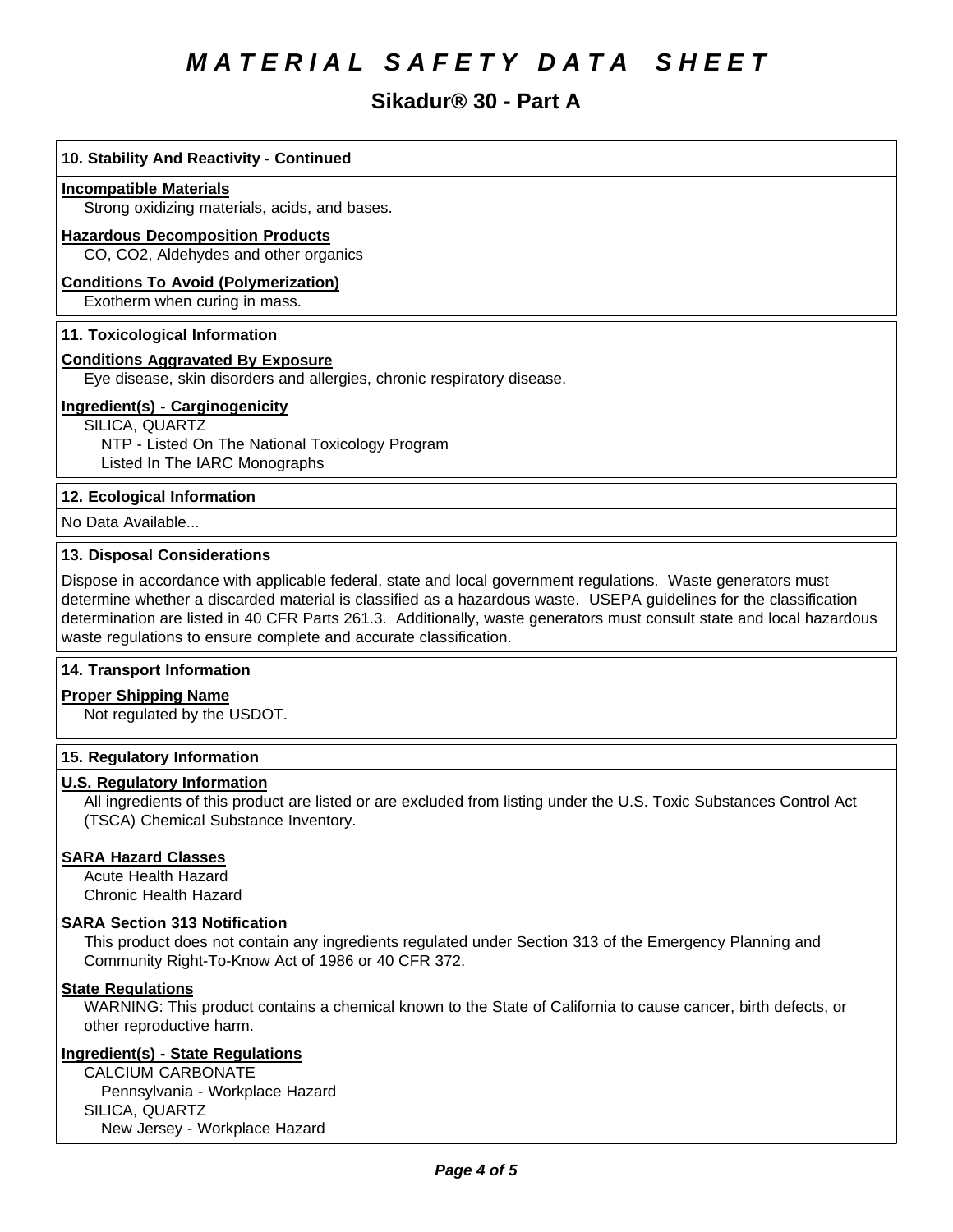# **Sikadur® 30 - Part A**

# **10. Stability And Reactivity - Continued Incompatible Materials** Strong oxidizing materials, acids, and bases. **Hazardous Decomposition Products** CO, CO2, Aldehydes and other organics **Conditions To Avoid (Polymerization)** Exotherm when curing in mass. **11. Toxicological Information Conditions Aggravated By Exposure** Eye disease, skin disorders and allergies, chronic respiratory disease. **Ingredient(s) - Carginogenicity** SILICA, QUARTZ NTP - Listed On The National Toxicology Program Listed In The IARC Monographs

#### **12. Ecological Information**

No Data Available...

#### **13. Disposal Considerations**

Dispose in accordance with applicable federal, state and local government regulations. Waste generators must determine whether a discarded material is classified as a hazardous waste. USEPA guidelines for the classification determination are listed in 40 CFR Parts 261.3. Additionally, waste generators must consult state and local hazardous waste regulations to ensure complete and accurate classification.

#### **14. Transport Information**

**Proper Shipping Name** Not regulated by the USDOT.

#### **15. Regulatory Information**

#### **U.S. Regulatory Information**

All ingredients of this product are listed or are excluded from listing under the U.S. Toxic Substances Control Act (TSCA) Chemical Substance Inventory.

#### **SARA Hazard Classes**

Acute Health Hazard Chronic Health Hazard

#### **SARA Section 313 Notification**

This product does not contain any ingredients regulated under Section 313 of the Emergency Planning and Community Right-To-Know Act of 1986 or 40 CFR 372.

#### **State Regulations**

WARNING: This product contains a chemical known to the State of California to cause cancer, birth defects, or other reproductive harm.

#### **Ingredient(s) - State Regulations**

CALCIUM CARBONATE Pennsylvania - Workplace Hazard SILICA, QUARTZ New Jersey - Workplace Hazard